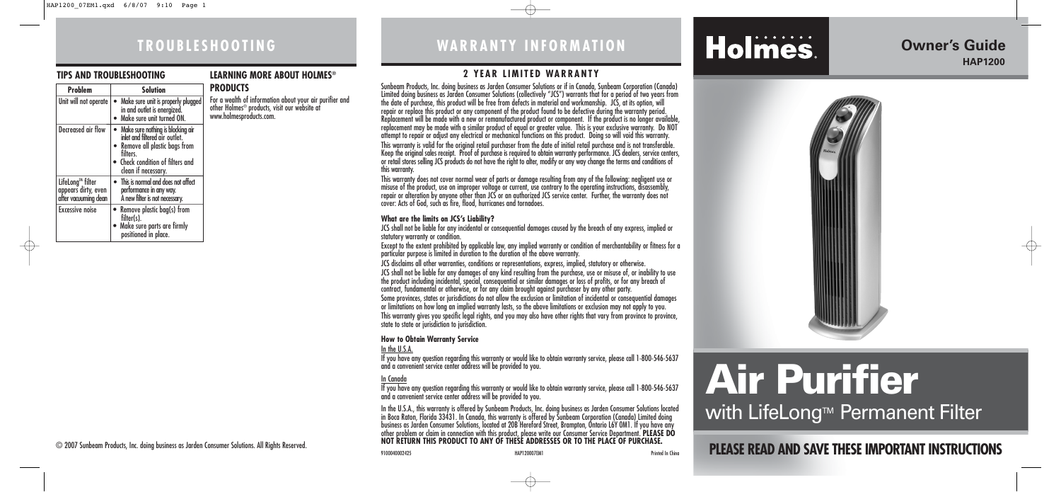# **TROUBLESHOOTING**

#### **TIPS AND TROUBLESHOOTING**

Problem **Solution** Unit will not operate  $\vert\bullet\vert$  Make sure unit is properly plugged

 $\vert$  Decreased air flow  $\vert \bullet \vert$  Make sure nothing is blocking air

in and outlet is energized • Make sure unit turned ON.

inlet and filtered air outlet. • Remove all plastic bags from

filters.

 $\left| \begin{array}{l} \text{Lifelong}^{\text{m}} \text{ filter} \\ \text{appears dirty, even} \end{array} \right| \bullet \text{ This is normal and does not affect}$ | appears dirty, even | performance in any way.<br>| after vacuuming dean | A new filter is not necessa

Excessive noise  $\bullet$  Remove plastic bag(s) from filter(s).

• Check condition of filters and clean if necessary.

A new filter is not necessary.

• Make sure parts are firmly positioned in place.

#### **LEARNING MORE ABOUT HOLMES® PRODUCTS**

For a wealth of information about your air purifier and other Holmes® products, visit our website at www.holmesproducts.com.

**PLEASE READ AND SAVE THESE IMPORTANT INSTRUCTIONS**

# **WARRANTY INFORMATION**

## **2 YEAR LIMITED WARRANTY**

Sunbeam Products, Inc. doing business as Jarden Consumer Solutions or if in Canada, Sunbeam Corporation (Canada) Limited doing business as Jarden Consumer Solutions (collectively "JCS") warrants that for a period of two years from the date of purchase, this product will be free from defects in material and workmanship. JCS, at its option, will repair or replace this product or any component of the product found to be defective during the warranty period. Replacement will be made with a new or remanufactured product or component. If the product is no longer available, replacement may be made with a similar product of equal or greater value. This is your exclusive warranty. Do NOT attempt to repair or adjust any electrical or mechanical functions on this product. Doing so will void this warranty. This warranty is valid for the original retail purchaser from the date of initial retail purchase and is not transferable. Keep the original sales receipt. Proof of purchase is required to obtain warranty performance. JCS dealers, service centers, or retail stores selling JCS products do not have the right to alter, modify or any way change the terms and conditions of this warranty.

This warranty does not cover normal wear of parts or damage resulting from any of the following: negligent use or misuse of the product, use on improper voltage or current, use contrary to the operating instructions, disassembly, repair or alteration by anyone other than JCS or an authorized JCS service center. Further, the warranty does not cover: Acts of God, such as fire, flood, hurricanes and tornadoes.

# **Air Purifier** with LifeLong $\mathbb{M}$  Permanent Filter

#### **What are the limits on JCS's Liability?**

JCS shall not be liable for any incidental or consequential damages caused by the breach of any express, implied or statutory warranty or condition.

Except to the extent prohibited by applicable law, any implied warranty or condition of merchantability or fitness for a particular purpose is limited in duration to the duration of the above warranty.

JCS disclaims all other warranties, conditions or representations, express, implied, statutory or otherwise.

JCS shall not be liable for any damages of any kind resulting from the purchase, use or misuse of, or inability to use the product including incidental, special, consequential or similar damages or loss of profits, or for any breach of contract, fundamental or otherwise, or for any claim brought against purchaser by any other party.

Some provinces, states or jurisdictions do not allow the exclusion or limitation of incidental or consequential damages or limitations on how long an implied warranty lasts, so the above limitations or exclusion may not apply to you. This warranty gives you specific legal rights, and you may also have other rights that vary from province to province, state to state or jurisdiction to jurisdiction.

#### **How to Obtain Warranty Service**

#### In the U.S.A.

If you have any question regarding this warranty or would like to obtain warranty service, please call 1-800-546-5637 and a convenient service center address will be provided to you.

#### In Canada

If you have any question regarding this warranty or would like to obtain warranty service, please call 1-800-546-5637 and a convenient service center address will be provided to you.

In the U.S.A., this warranty is offered by Sunbeam Products, Inc. doing business as Jarden Consumer Solutions located in Boca Raton, Florida 33431. In Canada, this warranty is offered by Sunbeam Corporation (Canada) Limited doing business as Jarden Consumer Solutions, located at 20B Hereford Street, Brampton, Ontario L6Y OM1. If you have any<br>other problem or claim in connection with this product, please write our Consumer Service Department. **PLEAS NOT RETURN THIS PRODUCT TO ANY OF THESE ADDRESSES OR TO THE PLACE OF PURCHASE.** 

9100040002425 HAP120007EM1 Printed In China





# **Owner's Guide HAP1200**